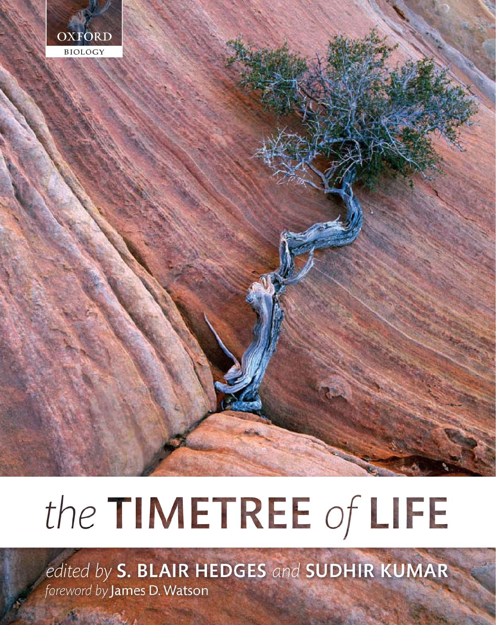

# the TIMETREE of LIFE

edited by S. BLAIR HEDGES and SUDHIR KUMAR foreword by James D. Watson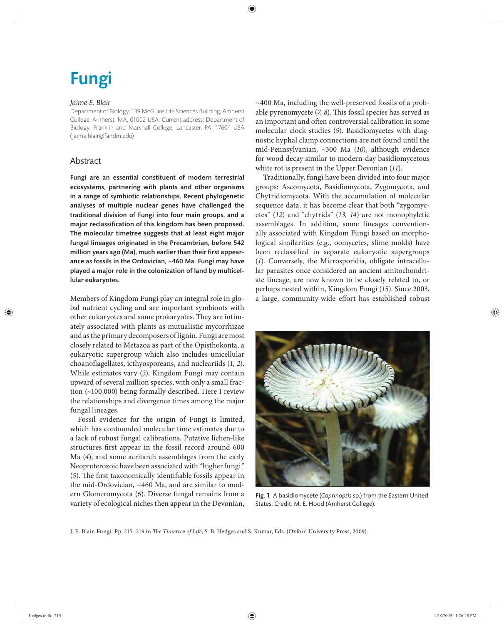# Fungi

#### *Jaime E. Blair*

Department of Biology, 139 McGuire Life Sciences Building, Amherst College, Amherst, MA, 01002 USA. Current address: Department of Biology, Franklin and Marshall College, Lancaster, PA, 17604 USA (jaime.blair@fandm.edu)

# Abstract

Fungi are an essential constituent of modern terrestrial ecosystems, partnering with plants and other organisms in a range of symbiotic relationships. Recent phylogenetic analyses of multiple nuclear genes have challenged the traditional division of Fungi into four main groups, and a major reclassification of this kingdom has been proposed. The molecular timetree suggests that at least eight major fungal lineages originated in the Precambrian, before 542 million years ago (Ma), much earlier than their first appearance as fossils in the Ordovician, ~460 Ma. Fungi may have played a major role in the colonization of land by multicellular eukaryotes.

Members of Kingdom Fungi play an integral role in global nutrient cycling and are important symbionts with other eukaryotes and some prokaryotes. They are intimately associated with plants as mutualistic mycorrhizae and as the primary decomposers of lignin. Fungi are most closely related to Metazoa as part of the Opisthokonta, a eukaryotic supergroup which also includes unicellular choanoflagellates, icthyosporeans, and nucleariids (1, 2). While estimates vary (*3*), Kingdom Fungi may contain upward of several million species, with only a small fraction (~100,000) being formally described. Here I review the relationships and divergence times among the major fungal lineages.

Fossil evidence for the origin of Fungi is limited, which has confounded molecular time estimates due to a lack of robust fungal calibrations. Putative lichen-like structures first appear in the fossil record around 600 Ma (*4*), and some acritarch assemblages from the early Neoproterozoic have been associated with "higher fungi" (5). The first taxonomically identifiable fossils appear in the mid-Ordovician, ~460 Ma, and are similar to modern Glomeromycota (*6*). Diverse fungal remains from a variety of ecological niches then appear in the Devonian, ~400 Ma, including the well-preserved fossils of a probable pyrenomycete (7, 8). This fossil species has served as an important and often controversial calibration in some molecular clock studies (*9*). Basidiomycetes with diagnostic hyphal clamp connections are not found until the mid-Pennsylvanian, ~300 Ma (10), although evidence for wood decay similar to modern-day basidiomycetous white rot is present in the Upper Devonian (*11*).

Traditionally, fungi have been divided into four major groups: Ascomycota, Basidiomycota, Zygomycota, and Chytridiomycota. With the accumulation of molecular sequence data, it has become clear that both "zygomycetes" (*12*) and "chytrids" (*13, 14*) are not monophyletic assemblages. In addition, some lineages conventionally associated with Kingdom Fungi based on morphological similarities (e.g., oomycetes, slime molds) have been reclassified in separate eukaryotic supergroups (*1*). Conversely, the Microsporidia, obligate intracellu lar parasites once considered an ancient amitochondriate lineage, are now known to be closely related to, or perhaps nested within, Kingdom Fungi (*15*). Since 2003, a large, community-wide effort has established robust



Fig. 1 A basidiomycete (*Coprinopsis* sp.) from the Eastern United States. Credit: M. E. Hood (Amherst College).

J. E. Blair. Fungi. Pp. 215-219 in *The Timetree of Life*, S. B. Hedges and S. Kumar, Eds. (Oxford University Press, 2009).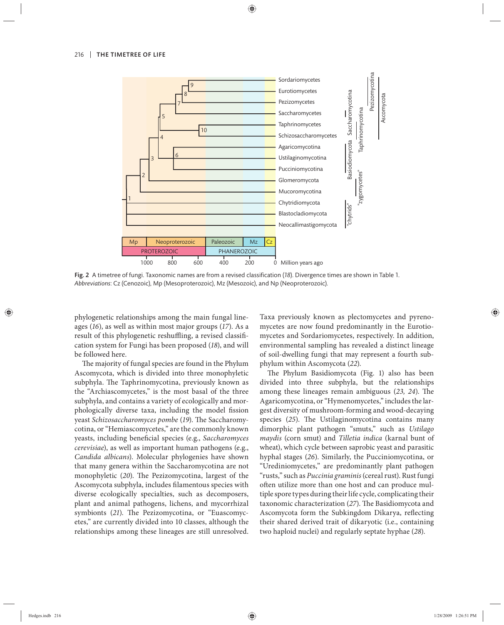

Fig. 2 A timetree of fungi. Taxonomic names are from a revised classification (18). Divergence times are shown in Table 1. *Abbreviations*: Cz (Cenozoic), Mp (Mesoproterozoic), Mz (Mesozoic), and Np (Neoproterozoic).

phylogenetic relationships among the main fungal lineages (*16*), as well as within most major groups (*17*). As a result of this phylogenetic reshuffling, a revised classification system for Fungi has been proposed (*18*), and will be followed here.

The majority of fungal species are found in the Phylum Ascomycota, which is divided into three monophyletic subphyla. The Taphrinomycotina, previously known as the "Archiascomycetes," is the most basal of the three subphyla, and contains a variety of ecologically and morphologically diverse taxa, including the model fission yeast *Schizosaccharomyces pombe* (19). The Saccharomycotina, or "Hemiascomycetes," are the commonly known yeasts, including beneficial species (e.g., *Saccharomyces cerevisiae*), as well as important human pathogens (e.g., *Candida albicans*). Molecular phylogenies have shown that many genera within the Saccharomycotina are not monophyletic (20). The Pezizomycotina, largest of the Ascomycota subphyla, includes filamentous species with diverse ecologically specialties, such as decomposers, plant and animal pathogens, lichens, and mycorrhizal symbionts (21). The Pezizomycotina, or "Euascomycetes," are currently divided into 10 classes, although the relationships among these lineages are still unresolved.

Taxa previously known as plectomycetes and pyrenomycetes are now found predominantly in the Eurotiomycetes and Sordariomycetes, respectively. In addition, environmental sampling has revealed a distinct lineage of soil-dwelling fungi that may represent a fourth subphylum within Ascomycota (*22*).

The Phylum Basidiomycota (Fig. 1) also has been divided into three subphyla, but the relationships among these lineages remain ambiguous (23, 24). The Agaricomycotina, or "Hymenomycetes," includes the largest diversity of mushroom-forming and wood- decaying species (25). The Ustilaginomycotina contains many dimorphic plant pathogen "smuts," such as *Ustilago maydis* (corn smut) and *Tilletia indica* (karnal bunt of wheat), which cycle between saprobic yeast and parasitic hyphal stages (*26*). Similarly, the Pucciniomycotina, or "Urediniomycetes," are predominantly plant pathogen "rusts," such as *Puccinia graminis* (cereal rust). Rust fungi often utilize more than one host and can produce multiple spore types during their life cycle, complicating their taxonomic characterization (27). The Basidiomycota and Ascomycota form the Subkingdom Dikarya, reflecting their shared derived trait of dikaryotic (i.e., containing two haploid nuclei) and regularly septate hyphae (*28*).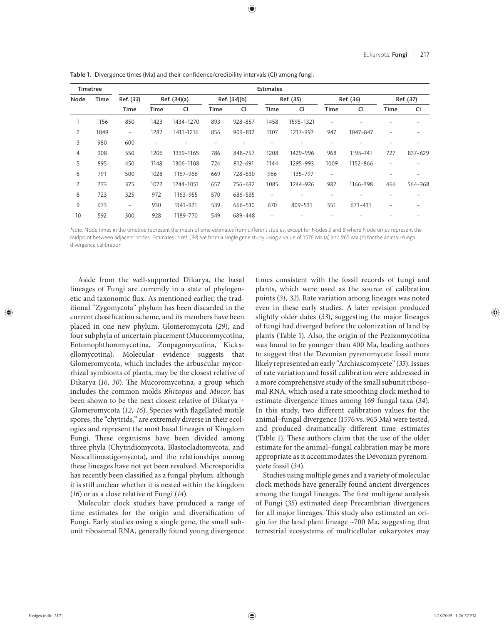| <b>Timetree</b> |      | <b>Estimates</b>         |              |           |              |         |                   |           |                          |           |                          |                          |
|-----------------|------|--------------------------|--------------|-----------|--------------|---------|-------------------|-----------|--------------------------|-----------|--------------------------|--------------------------|
| Node            | Time | Ref. (33)<br><b>Time</b> | Ref. (34)(a) |           | Ref. (34)(b) |         | Ref. (35)         |           | Ref. (36)                |           | Ref. (37)                |                          |
|                 |      |                          | <b>Time</b>  | CI        | <b>Time</b>  | CI      | <b>Time</b>       | CI        | <b>Time</b>              | <b>CI</b> | <b>Time</b>              | <b>CI</b>                |
|                 | 1156 | 850                      | 1423         | 1434-1270 | 893          | 928-857 | 1458              | 1595-1321 | $\overline{\phantom{a}}$ |           |                          |                          |
| 2               | 1049 | $\overline{\phantom{a}}$ | 1287         | 1411-1216 | 856          | 909-812 | 1107              | 1217-997  | 947                      | 1047-847  |                          |                          |
| 3               | 980  | 600                      |              |           |              |         |                   |           |                          |           |                          |                          |
| $\overline{4}$  | 908  | 550                      | 1206         | 1339-1165 | 786          | 848-757 | 1208              | 1429-996  | 968                      | 1195-741  | 727                      | 837-629                  |
| 5               | 895  | 450                      | 1148         | 1306-1108 | 724          | 812-691 | 1144              | 1295-993  | 1009                     | 1152-866  | $\overline{\phantom{a}}$ | $\overline{\phantom{a}}$ |
| 6               | 791  | 500                      | 1028         | 1167-966  | 669          | 728-630 | 966               | 1135-797  | $\overline{\phantom{a}}$ |           |                          | $\overline{\phantom{0}}$ |
| 7               | 773  | 375                      | 1072         | 1244-1051 | 657          | 756-632 | 1085              | 1244-926  | 982                      | 1166-798  | 466                      | 564-368                  |
| 8               | 723  | 325                      | 972          | 1163-955  | 570          | 686-535 | $\qquad \qquad -$ | -         | -                        |           |                          | $\overline{\phantom{0}}$ |
| 9               | 673  | $\overline{\phantom{a}}$ | 930          | 1141-921  | 539          | 666-510 | 670               | 809-531   | 551                      | 671-431   |                          |                          |
| 10              | 592  | 300                      | 928          | 1189-770  | 549          | 689-448 | $\overline{a}$    |           |                          |           |                          |                          |

Table 1. Divergence times (Ma) and their confidence/credibility intervals (CI) among fungi.

Note: Node times in the timetree represent the mean of time estimates from different studies, except for Nodes 3 and 8 where Node times represent the midpoint between adjacent nodes. Estimates in ref. (34) are from a single gene study using a value of 1576 Ma (a) and 965 Ma (b) for the animal–fungal divergence calibration.

Aside from the well-supported Dikarya, the basal lineages of Fungi are currently in a state of phylogenetic and taxonomic flux. As mentioned earlier, the traditional "Zygomycota" phylum has been discarded in the current classification scheme, and its members have been placed in one new phylum, Glomeromycota (*29*), and four subphyla of uncertain placement (Mucoromycotina, Entomophthoromycotina, Zoopagomycotina, Kickxellomycotina). Molecular evidence suggests that Glomeromycota, which includes the arbuscular mycorrhizal symbionts of plants, may be the closest relative of Dikarya (16, 30). The Mucoromycotina, a group which includes the common molds *Rhizopus* and *Mucor*, has been shown to be the next closest relative of Dikarya + Glomeromycota (12, 16). Species with flagellated motile spores, the "chytrids," are extremely diverse in their ecologies and represent the most basal lineages of Kingdom Fungi. These organisms have been divided among three phyla (Chytridiomycota, Blastocladiomycota, and Neocallimastigomycota), and the relationships among these lineages have not yet been resolved. Microsporidia has recently been classified as a fungal phylum, although it is still unclear whether it is nested within the kingdom (*16*) or as a close relative of Fungi (*14*).

Molecular clock studies have produced a range of time estimates for the origin and diversification of Fungi. Early studies using a single gene, the small subunit ribosomal RNA, generally found young divergence

times consistent with the fossil records of fungi and plants, which were used as the source of calibration points (*31, 32*). Rate variation among lineages was noted even in these early studies. A later revision produced slightly older dates (33), suggesting the major lineages of fungi had diverged before the colonization of land by plants (Table 1). Also, the origin of the Pezizomycotina was found to be younger than 400 Ma, leading authors to suggest that the Devonian pyrenomycete fossil more likely represented an early "Archiascomycete" (*33*). Issues of rate variation and fossil calibration were addressed in a more comprehensive study of the small subunit ribosomal RNA, which used a rate smoothing clock method to estimate divergence times among 169 fungal taxa (*34*). In this study, two different calibration values for the animal–fungal divergence (1576 vs. 965 Ma) were tested, and produced dramatically different time estimates (Table 1). These authors claim that the use of the older estimate for the animal–fungal calibration may be more appropriate as it accommodates the Devonian pyrenomycete fossil (*34*).

Studies using multiple genes and a variety of molecular clock methods have generally found ancient divergences among the fungal lineages. The first multigene analysis of Fungi (*35*) estimated deep Precambrian divergences for all major lineages. This study also estimated an origin for the land plant lineage ~700 Ma, suggesting that terrestrial ecosystems of multicellular eukaryotes may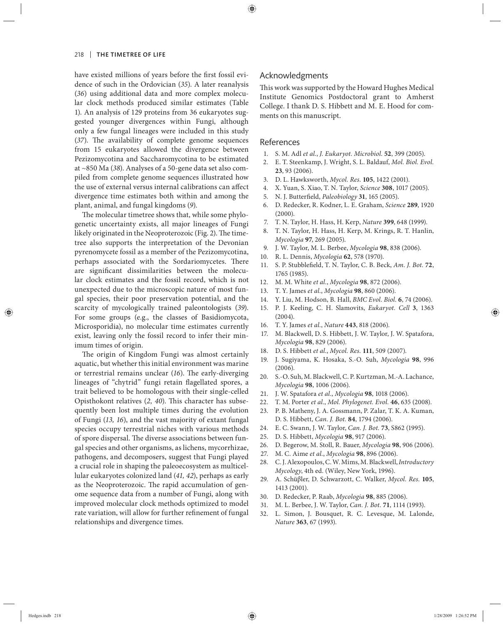have existed millions of years before the first fossil evidence of such in the Ordovician (*35*). A later reanalysis (*36*) using additional data and more complex molecular clock methods produced similar estimates (Table 1). An analysis of 129 proteins from 36 eukaryotes suggested younger divergences within Fungi, although only a few fungal lineages were included in this study (37). The availability of complete genome sequences from 15 eukaryotes allowed the divergence between Pezizomycotina and Saccharomycotina to be estimated at ~850 Ma (*38*). Analyses of a 50-gene data set also compiled from complete genome sequences illustrated how the use of external versus internal calibrations can affect divergence time estimates both within and among the plant, animal, and fungal kingdoms (*9*).

The molecular timetree shows that, while some phylogenetic uncertainty exists, all major lineages of Fungi likely originated in the Neoproterozoic (Fig. 2). The timetree also supports the interpretation of the Devonian pyrenomycete fossil as a member of the Pezizomycotina, perhaps associated with the Sordariomycetes. There are significant dissimilarities between the molecular clock estimates and the fossil record, which is not unexpected due to the microscopic nature of most fungal species, their poor preservation potential, and the scarcity of mycologically trained paleontologists (*39*). For some groups (e.g., the classes of Basidiomycota, Microsporidia), no molecular time estimates currently exist, leaving only the fossil record to infer their minimum times of origin.

The origin of Kingdom Fungi was almost certainly aquatic, but whether this initial environment was marine or terrestrial remains unclear (16). The early-diverging lineages of "chytrid" fungi retain flagellated spores, a trait believed to be homologous with their single-celled Opisthokont relatives (2, 40). This character has subsequently been lost multiple times during the evolution of Fungi (*13, 16*), and the vast majority of extant fungal species occupy terrestrial niches with various methods of spore dispersal. The diverse associations between fungal species and other organisms, as lichens, mycorrhizae, pathogens, and decomposers, suggest that Fungi played a crucial role in shaping the paleoecosystem as multicellular eukaryotes colonized land (*41, 42*), perhaps as early as the Neoproterozoic. The rapid accumulation of genome sequence data from a number of Fungi, along with improved molecular clock methods optimized to model rate variation, will allow for further refinement of fungal relationships and divergence times.

### Acknowledgments

This work was supported by the Howard Hughes Medical Institute Genomics Postdoctoral grant to Amherst College. I thank D. S. Hibbett and M. E. Hood for comments on this manuscript.

## References

- 1. S. M. Adl *et al.*, *J. Eukaryot. Microbiol.* **52**, 399 (2005).
- 2. E. T. Steenkamp, J. Wright, S. L. Baldauf, *Mol. Biol. Evol.* **23**, 93 (2006).
- 3. D. L. Hawksworth, *Mycol. Res.* **105**, 1422 (2001).
- 4. X. Yuan, S. Xiao, T. N. Taylor, *Science* **308**, 1017 (2005).
- 5. N. J. Butterfield, *Paleobiology* 31, 165 (2005).
- 6. D. Redecker, R. Kodner, L. E. Graham, *Science* **289**, 1920 (2000).
- 7. T. N. Taylor, H. Hass, H. Kerp, *Nature* **399**, 648 (1999).
- 8. T. N. Taylor, H. Hass, H. Kerp, M. Krings, R. T. Hanlin, *Mycologia* **97**, 269 (2005).
- 9. J. W. Taylor, M. L. Berbee, *Mycologia* **98**, 838 (2006).
- 10. R. L. Dennis, *Mycologia* **62**, 578 (1970).
- 11. S. P. Stubblefield, T. N. Taylor, C. B. Beck, *Am. J. Bot.* **72**, 1765 (1985).
- 12. M. M. White *et al.*, *Mycologia* **98**, 872 (2006).
- 13. T. Y. James *et al.*, *Mycologia* **98**, 860 (2006).
- 14. Y. Liu, M. Hodson, B. Hall, *BMC Evol. Biol.* **6**, 74 (2006).
- 15. P. J. Keeling, C. H. Slamovits, *Eukaryot. Cell* **3**, 1363  $(2004)$ .
- 16. T. Y. James *et al.*, *Nature* **443**, 818 (2006).
- 17. M. Blackwell, D. S. Hibbett, J. W. Taylor, J. W. Spatafora, *Mycologia* **98**, 829 (2006).
- 18. D. S. Hibbett *et al.*, *Mycol. Res.* **111**, 509 (2007).
- 19. J. Su giyama, K. Hosaka, S.-O. Su h, *Mycologia* **98**, 996 (2006).
- 20. S.-O. Suh, M. Blackwell, C. P. Kurtzman, M.-A. Lachance, *Mycologia* **98**, 1006 (2006).
- 21. J. W. Spatafora *et al.*, *Mycologia* **98**, 1018 (2006).
- 22. T. M. Porter *et al.*, *Mol. Phylogenet. Evol.* **46**, 635 (2008).
- 23. P. B. Matheny, J. A. Gossmann, P. Zalar, T. K. A. Kuman, D. S. Hibbett, *Can. J. Bot.* **84**, 1794 (2006).
- 24. E. C. Swann, J. W. Taylor, *Can. J. Bot.* **73**, S862 (1995).
- 25. D. S. Hibbett, *Mycologia* **98**, 917 (2006).
- 26. D. Begerow, M. Stoll, R. Bauer, *Mycologia* **98**, 906 (2006).
- 27. M. C. Aime *et al.*, *Mycologia* **98**, 896 (2006).
- 28. C. J. Alexopoulos, C. W. Mims, M. Blackwell, *Introductory Mycology*, 4th ed. (Wiley, New York, 1996).
- 29. A. Schüβler, D. Schwarzott, C. Walker, *Mycol. Res.* **105**, 1413 (2001).
- 30. D. Redecker, P. Raab, *Mycologia* **98**, 885 (2006).
- 31. M. L. Berbee, J. W. Taylor, *Can. J. Bot.* **71**, 1114 (1993).
- 32. L. Simon, J. Bousquet, R. C. Levesque, M. Lalonde, *Nature* **363**, 67 (1993).